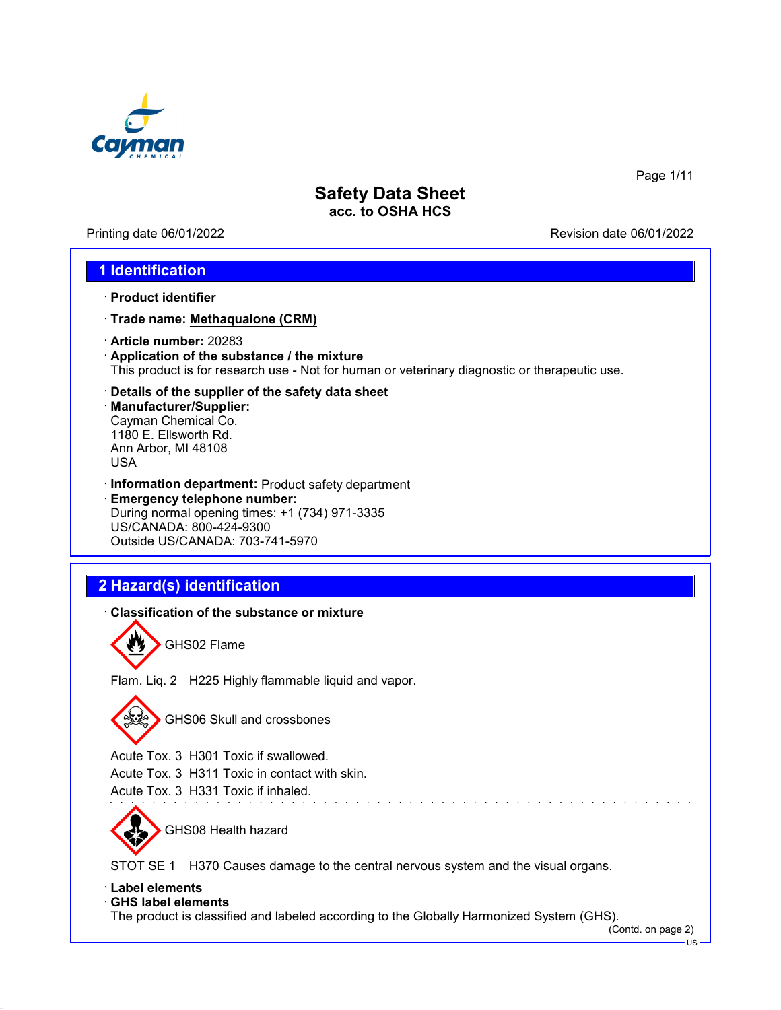

Printing date 06/01/2022 **Revision date 06/01/2022** 

Page 1/11

### **1 Identification**

- · **Product identifier**
- · **Trade name: Methaqualone (CRM)**
- · **Article number:** 20283
- · **Application of the substance / the mixture** This product is for research use - Not for human or veterinary diagnostic or therapeutic use.
- · **Details of the supplier of the safety data sheet**
- · **Manufacturer/Supplier:** Cayman Chemical Co. 1180 E. Ellsworth Rd. Ann Arbor, MI 48108 USA
- · **Information department:** Product safety department · **Emergency telephone number:** During normal opening times: +1 (734) 971-3335 US/CANADA: 800-424-9300 Outside US/CANADA: 703-741-5970

# **2 Hazard(s) identification**

| Classification of the substance or mixture                                                                                                                            |
|-----------------------------------------------------------------------------------------------------------------------------------------------------------------------|
| GHS02 Flame                                                                                                                                                           |
| Flam. Liq. 2 H225 Highly flammable liquid and vapor.                                                                                                                  |
| <b>GHS06 Skull and crossbones</b>                                                                                                                                     |
| Acute Tox. 3 H301 Toxic if swallowed.                                                                                                                                 |
| Acute Tox. 3 H311 Toxic in contact with skin.                                                                                                                         |
| Acute Tox, 3 H331 Toxic if inhaled.                                                                                                                                   |
| GHS08 Health hazard                                                                                                                                                   |
| STOT SE 1<br>H370 Causes damage to the central nervous system and the visual organs.                                                                                  |
| <b>⋅Label elements</b><br><b>GHS label elements</b><br>The product is classified and labeled according to the Globally Harmonized System (GHS).<br>(Contd. on page 2) |
| $US -$                                                                                                                                                                |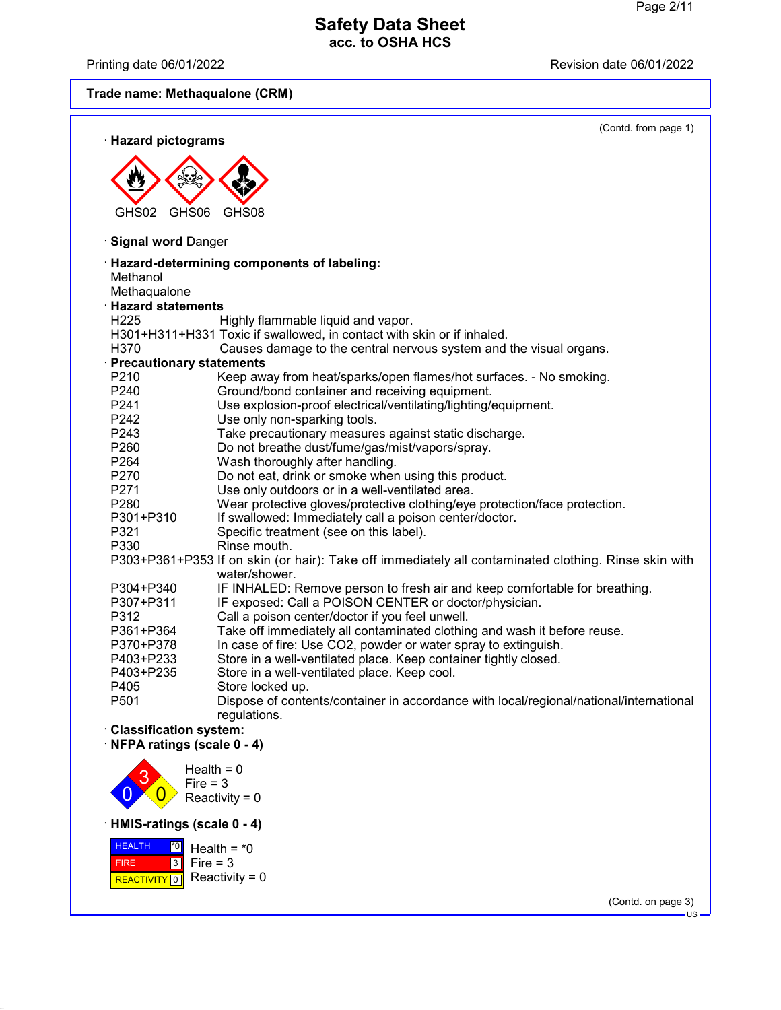0

 HEALTH FIRE <mark>| REACTIVITY</mark>

 $\overline{0}$ 

· **HMIS-ratings (scale 0 - 4)**

3 0

Fire = 3  $Recivity = 0$ 

<u>\*<sup>0</sup></u> Health = \*0

Fire = 3 Reactivity = 0

Printing date 06/01/2022 **Printing date 06/01/2022** 

**Trade name: Methaqualone (CRM)**

| <b>Hazard pictograms</b>        | (Contd. from page 1)                                                                                                  |
|---------------------------------|-----------------------------------------------------------------------------------------------------------------------|
|                                 |                                                                                                                       |
|                                 |                                                                                                                       |
| GHS02<br>GHS06                  | GHS08                                                                                                                 |
| · Signal word Danger            |                                                                                                                       |
| Methanol                        | <b>Hazard-determining components of labeling:</b>                                                                     |
| Methaqualone                    |                                                                                                                       |
| <b>Hazard statements</b>        |                                                                                                                       |
| H <sub>225</sub>                | Highly flammable liquid and vapor.                                                                                    |
|                                 | H301+H311+H331 Toxic if swallowed, in contact with skin or if inhaled.                                                |
| H370                            | Causes damage to the central nervous system and the visual organs.                                                    |
| <b>Precautionary statements</b> |                                                                                                                       |
| P210                            | Keep away from heat/sparks/open flames/hot surfaces. - No smoking.                                                    |
| P240                            | Ground/bond container and receiving equipment.                                                                        |
| P241                            | Use explosion-proof electrical/ventilating/lighting/equipment.                                                        |
| P242                            | Use only non-sparking tools.                                                                                          |
| P243                            | Take precautionary measures against static discharge.                                                                 |
| P <sub>260</sub>                | Do not breathe dust/fume/gas/mist/vapors/spray.                                                                       |
| P <sub>264</sub>                | Wash thoroughly after handling.                                                                                       |
| P270                            | Do not eat, drink or smoke when using this product.                                                                   |
| P271                            | Use only outdoors or in a well-ventilated area.                                                                       |
| P280                            | Wear protective gloves/protective clothing/eye protection/face protection.                                            |
| P301+P310                       | If swallowed: Immediately call a poison center/doctor.                                                                |
| P321                            | Specific treatment (see on this label).                                                                               |
| P330                            | Rinse mouth.                                                                                                          |
|                                 | P303+P361+P353 If on skin (or hair): Take off immediately all contaminated clothing. Rinse skin with<br>water/shower. |
| P304+P340                       | IF INHALED: Remove person to fresh air and keep comfortable for breathing.                                            |
| P307+P311                       | IF exposed: Call a POISON CENTER or doctor/physician.                                                                 |
| P312                            | Call a poison center/doctor if you feel unwell.                                                                       |
| P361+P364                       | Take off immediately all contaminated clothing and wash it before reuse.                                              |
| P370+P378                       | In case of fire: Use CO2, powder or water spray to extinguish.                                                        |
| P403+P233                       | Store in a well-ventilated place. Keep container tightly closed.                                                      |
| P403+P235                       | Store in a well-ventilated place. Keep cool.                                                                          |
| P405                            | Store locked up.                                                                                                      |
| P501                            | Dispose of contents/container in accordance with local/regional/national/international<br>regulations.                |
| <b>Classification system:</b>   |                                                                                                                       |
| NFPA ratings (scale 0 - 4)      |                                                                                                                       |
|                                 |                                                                                                                       |
|                                 | Health = $0$<br>$Fire = 3$                                                                                            |

(Contd. on page 3)  $\overline{\mathsf{US}}$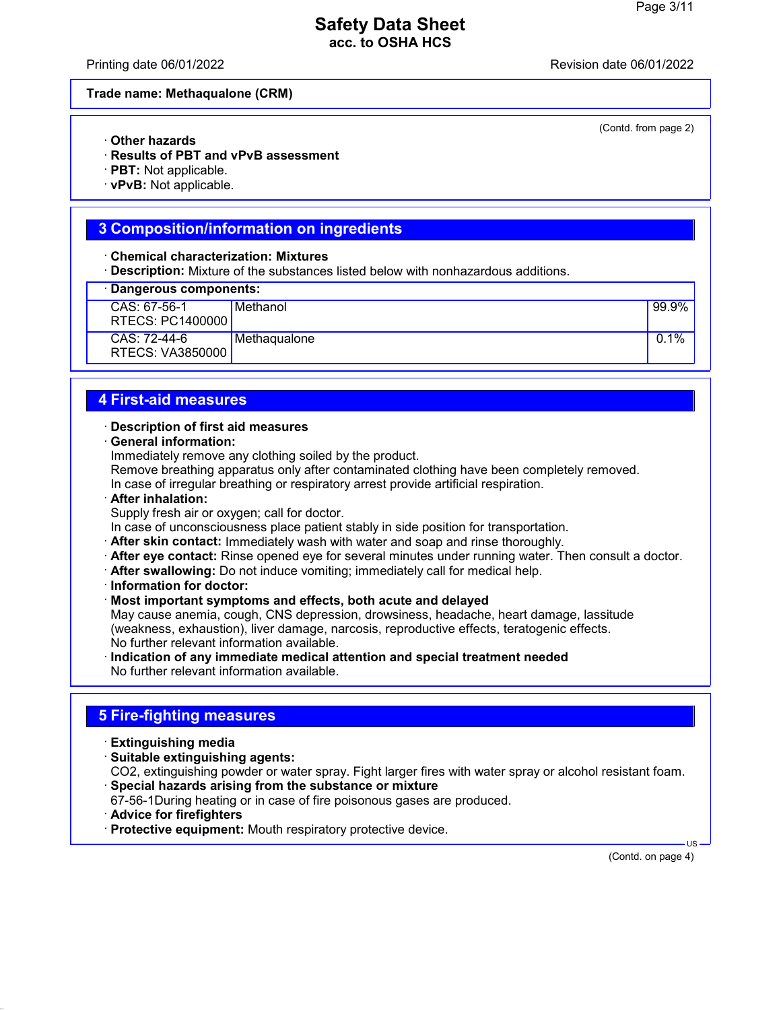Printing date 06/01/2022 Revision date 06/01/2022

(Contd. from page 2)

#### **Trade name: Methaqualone (CRM)**

- · **Other hazards**
- · **Results of PBT and vPvB assessment**
- · **PBT:** Not applicable.
- · **vPvB:** Not applicable.

#### **3 Composition/information on ingredients**

· **Chemical characterization: Mixtures**

· **Description:** Mixture of the substances listed below with nonhazardous additions.

| · Dangerous components:            |              |         |
|------------------------------------|--------------|---------|
| $CAS: 67-56-1$<br>RTECS: PC1400000 | Methanol     | 99.9%   |
| $CAS: 72-44-6$<br>RTECS: VA3850000 | Methagualone | $0.1\%$ |

#### **4 First-aid measures**

#### · **Description of first aid measures**

· **General information:**

Immediately remove any clothing soiled by the product.

Remove breathing apparatus only after contaminated clothing have been completely removed.

In case of irregular breathing or respiratory arrest provide artificial respiration.

· **After inhalation:**

Supply fresh air or oxygen; call for doctor.

In case of unconsciousness place patient stably in side position for transportation.

- · **After skin contact:** Immediately wash with water and soap and rinse thoroughly.
- · **After eye contact:** Rinse opened eye for several minutes under running water. Then consult a doctor.
- · **After swallowing:** Do not induce vomiting; immediately call for medical help.
- · **Information for doctor:**
- · **Most important symptoms and effects, both acute and delayed**

May cause anemia, cough, CNS depression, drowsiness, headache, heart damage, lassitude (weakness, exhaustion), liver damage, narcosis, reproductive effects, teratogenic effects. No further relevant information available.

· **Indication of any immediate medical attention and special treatment needed** No further relevant information available.

## **5 Fire-fighting measures**

- · **Extinguishing media**
- · **Suitable extinguishing agents:** CO2, extinguishing powder or water spray. Fight larger fires with water spray or alcohol resistant foam.
- · **Special hazards arising from the substance or mixture**
- 67-56-1During heating or in case of fire poisonous gases are produced.
- · **Advice for firefighters**
- · **Protective equipment:** Mouth respiratory protective device.

(Contd. on page 4)

US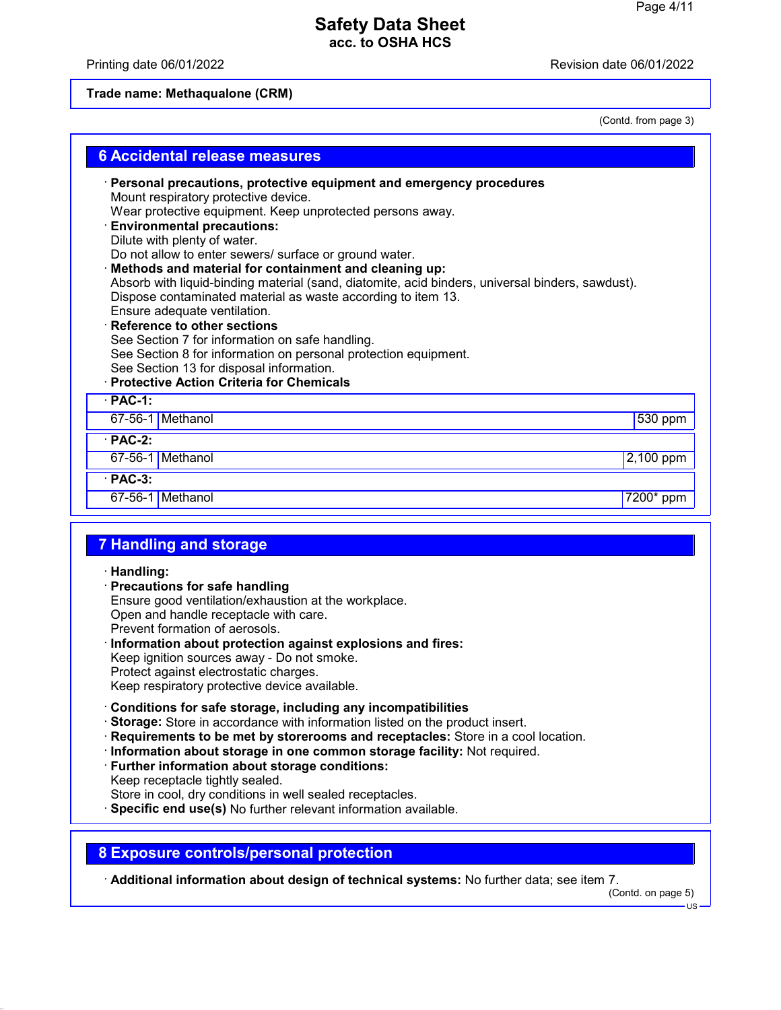## Printing date 06/01/2022 **Revision date 06/01/2022**

## **Trade name: Methaqualone (CRM)**

(Contd. from page 3)

| <b>6 Accidental release measures</b>                                                                                                                                                                                                                                                                                                                                                                                                                                                                                                                                                                                                                                                                                                                                                                                       |
|----------------------------------------------------------------------------------------------------------------------------------------------------------------------------------------------------------------------------------------------------------------------------------------------------------------------------------------------------------------------------------------------------------------------------------------------------------------------------------------------------------------------------------------------------------------------------------------------------------------------------------------------------------------------------------------------------------------------------------------------------------------------------------------------------------------------------|
| · Personal precautions, protective equipment and emergency procedures<br>Mount respiratory protective device.<br>Wear protective equipment. Keep unprotected persons away.<br><b>Environmental precautions:</b><br>Dilute with plenty of water.<br>Do not allow to enter sewers/ surface or ground water.<br>Methods and material for containment and cleaning up:<br>Absorb with liquid-binding material (sand, diatomite, acid binders, universal binders, sawdust).<br>Dispose contaminated material as waste according to item 13.<br>Ensure adequate ventilation.<br>Reference to other sections<br>See Section 7 for information on safe handling.<br>See Section 8 for information on personal protection equipment.<br>See Section 13 for disposal information.<br><b>Protective Action Criteria for Chemicals</b> |
| $\cdot$ PAC-1:                                                                                                                                                                                                                                                                                                                                                                                                                                                                                                                                                                                                                                                                                                                                                                                                             |
| 67-56-1 Methanol<br>$530$ ppm                                                                                                                                                                                                                                                                                                                                                                                                                                                                                                                                                                                                                                                                                                                                                                                              |
| $·$ PAC-2:                                                                                                                                                                                                                                                                                                                                                                                                                                                                                                                                                                                                                                                                                                                                                                                                                 |
| 67-56-1 Methanol<br>2,100 ppm                                                                                                                                                                                                                                                                                                                                                                                                                                                                                                                                                                                                                                                                                                                                                                                              |
| $\cdot$ PAC-3:                                                                                                                                                                                                                                                                                                                                                                                                                                                                                                                                                                                                                                                                                                                                                                                                             |
| 67-56-1 Methanol<br>7200* ppm                                                                                                                                                                                                                                                                                                                                                                                                                                                                                                                                                                                                                                                                                                                                                                                              |
| <b>7 Handling and storage</b><br>· Handling:<br>· Precautions for safe handling<br>Ensure good ventilation/exhaustion at the workplace.<br>Open and handle receptacle with care.<br>Prevent formation of aerosols.<br>· Information about protection against explosions and fires:<br>Keep ignition sources away - Do not smoke.<br>Protect against electrostatic charges.<br>Keep respiratory protective device available.                                                                                                                                                                                                                                                                                                                                                                                                |
| Conditions for safe storage, including any incompatibilities<br>Storage: Store in accordance with information listed on the product insert.<br>Requirements to be met by storerooms and receptacles: Store in a cool location.<br>· Information about storage in one common storage facility: Not required.<br>· Further information about storage conditions:<br>Keep receptacle tightly sealed.<br>Store in cool, dry conditions in well sealed receptacles.<br>Specific end use(s) No further relevant information available.                                                                                                                                                                                                                                                                                           |
| <b>8 Exposure controls/personal protection</b>                                                                                                                                                                                                                                                                                                                                                                                                                                                                                                                                                                                                                                                                                                                                                                             |

· **Additional information about design of technical systems:** No further data; see item 7. (Contd. on page 5)

US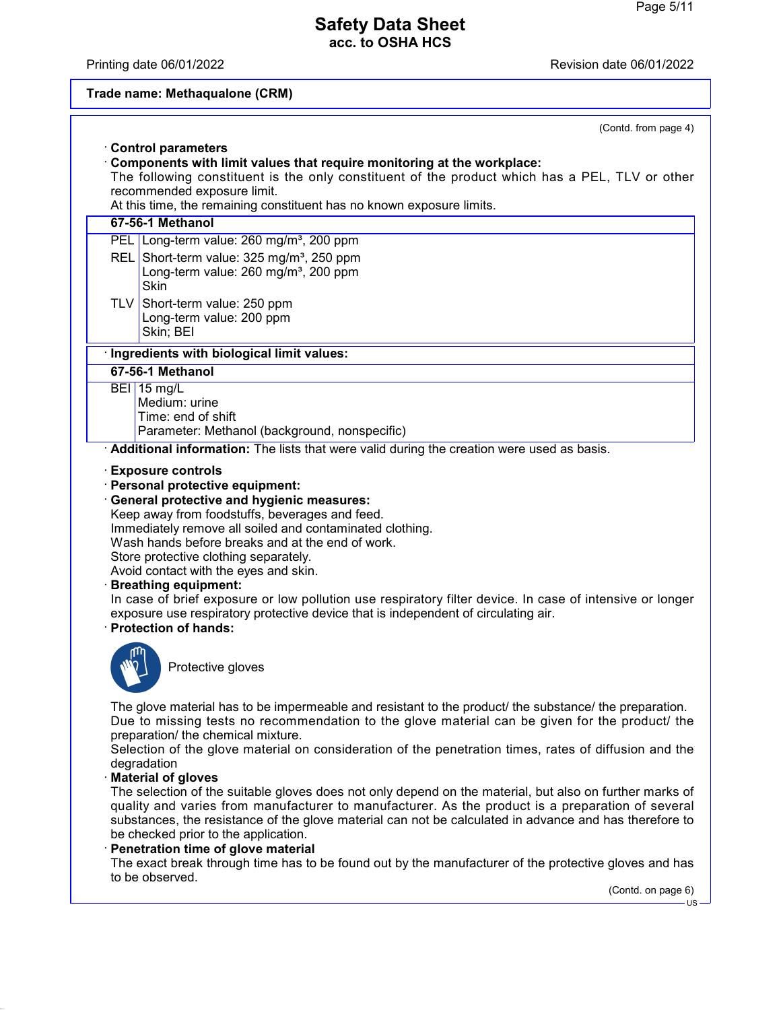#### Printing date 06/01/2022 **Revision date 06/01/2022**

## **Trade name: Methaqualone (CRM)**

| (Contd. from page 4)                                                                                                                                                                                                                                                                                                                                                                                                                                                                                                                                                                                                            |
|---------------------------------------------------------------------------------------------------------------------------------------------------------------------------------------------------------------------------------------------------------------------------------------------------------------------------------------------------------------------------------------------------------------------------------------------------------------------------------------------------------------------------------------------------------------------------------------------------------------------------------|
| <b>Control parameters</b>                                                                                                                                                                                                                                                                                                                                                                                                                                                                                                                                                                                                       |
| Components with limit values that require monitoring at the workplace:<br>The following constituent is the only constituent of the product which has a PEL, TLV or other                                                                                                                                                                                                                                                                                                                                                                                                                                                        |
| recommended exposure limit.                                                                                                                                                                                                                                                                                                                                                                                                                                                                                                                                                                                                     |
| At this time, the remaining constituent has no known exposure limits.                                                                                                                                                                                                                                                                                                                                                                                                                                                                                                                                                           |
| 67-56-1 Methanol                                                                                                                                                                                                                                                                                                                                                                                                                                                                                                                                                                                                                |
| PEL Long-term value: 260 mg/m <sup>3</sup> , 200 ppm                                                                                                                                                                                                                                                                                                                                                                                                                                                                                                                                                                            |
| REL Short-term value: 325 mg/m <sup>3</sup> , 250 ppm                                                                                                                                                                                                                                                                                                                                                                                                                                                                                                                                                                           |
| Long-term value: $260$ mg/m <sup>3</sup> , 200 ppm<br><b>Skin</b>                                                                                                                                                                                                                                                                                                                                                                                                                                                                                                                                                               |
| TLV Short-term value: 250 ppm                                                                                                                                                                                                                                                                                                                                                                                                                                                                                                                                                                                                   |
| Long-term value: 200 ppm                                                                                                                                                                                                                                                                                                                                                                                                                                                                                                                                                                                                        |
| Skin; BEI                                                                                                                                                                                                                                                                                                                                                                                                                                                                                                                                                                                                                       |
| · Ingredients with biological limit values:                                                                                                                                                                                                                                                                                                                                                                                                                                                                                                                                                                                     |
| 67-56-1 Methanol                                                                                                                                                                                                                                                                                                                                                                                                                                                                                                                                                                                                                |
| <b>BEI</b> 15 mg/L<br>Medium: urine                                                                                                                                                                                                                                                                                                                                                                                                                                                                                                                                                                                             |
| Time: end of shift                                                                                                                                                                                                                                                                                                                                                                                                                                                                                                                                                                                                              |
| Parameter: Methanol (background, nonspecific)                                                                                                                                                                                                                                                                                                                                                                                                                                                                                                                                                                                   |
| Additional information: The lists that were valid during the creation were used as basis.                                                                                                                                                                                                                                                                                                                                                                                                                                                                                                                                       |
| <b>Exposure controls</b><br>· Personal protective equipment:<br><b>General protective and hygienic measures:</b><br>Keep away from foodstuffs, beverages and feed.<br>Immediately remove all soiled and contaminated clothing.<br>Wash hands before breaks and at the end of work.<br>Store protective clothing separately.<br>Avoid contact with the eyes and skin.<br><b>Breathing equipment:</b><br>In case of brief exposure or low pollution use respiratory filter device. In case of intensive or longer<br>exposure use respiratory protective device that is independent of circulating air.<br>· Protection of hands: |
| Protective gloves                                                                                                                                                                                                                                                                                                                                                                                                                                                                                                                                                                                                               |
| The glove material has to be impermeable and resistant to the product/ the substance/ the preparation.<br>Due to missing tests no recommendation to the glove material can be given for the product/ the<br>preparation/ the chemical mixture.<br>Selection of the glove material on consideration of the penetration times, rates of diffusion and the<br>degradation<br><b>Material of gloves</b>                                                                                                                                                                                                                             |
| The selection of the suitable gloves does not only depend on the material, but also on further marks of<br>quality and varies from manufacturer to manufacturer. As the product is a preparation of several<br>substances, the resistance of the glove material can not be calculated in advance and has therefore to                                                                                                                                                                                                                                                                                                           |

be checked prior to the application. · **Penetration time of glove material**

The exact break through time has to be found out by the manufacturer of the protective gloves and has to be observed.

(Contd. on page 6)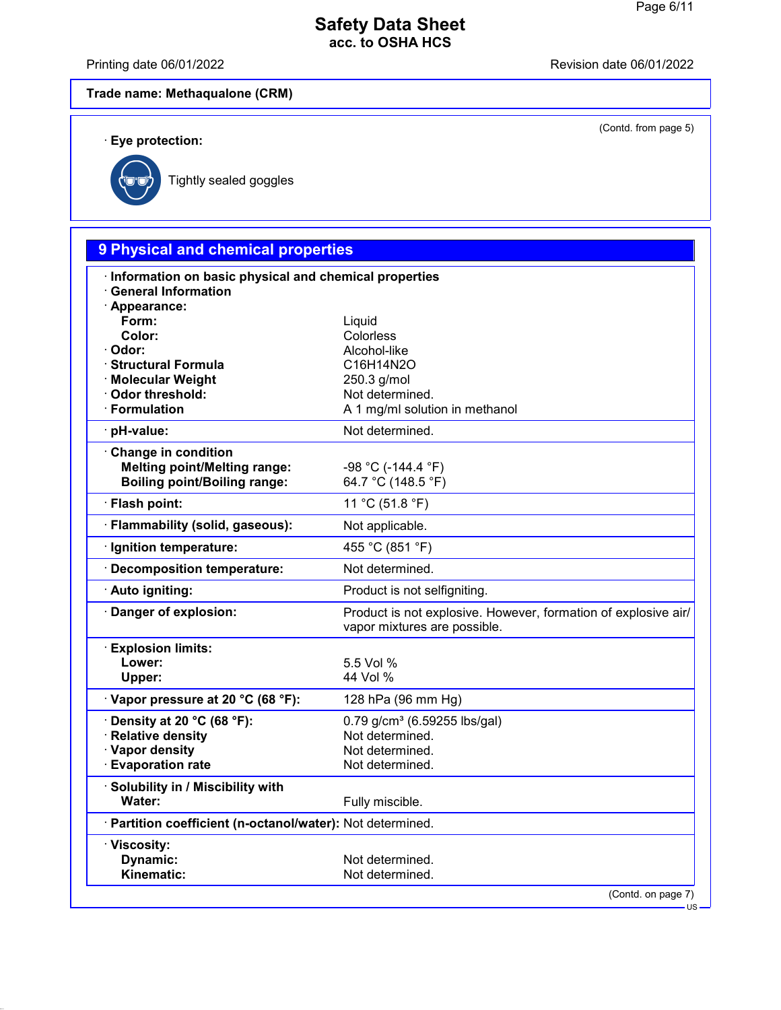Printing date 06/01/2022 **Revision date 06/01/2022** 

(Contd. from page 5)

# **Trade name: Methaqualone (CRM)**

· **Eye protection:**



Tightly sealed goggles

| 9 Physical and chemical properties                                         |                                                                                                |
|----------------------------------------------------------------------------|------------------------------------------------------------------------------------------------|
| Information on basic physical and chemical properties                      |                                                                                                |
| <b>General Information</b>                                                 |                                                                                                |
| · Appearance:<br>Form:                                                     | Liquid                                                                                         |
| Color:                                                                     | Colorless                                                                                      |
| Odor:                                                                      | Alcohol-like                                                                                   |
| <b>Structural Formula</b>                                                  | C16H14N2O                                                                                      |
| · Molecular Weight                                                         | 250.3 g/mol                                                                                    |
| Odor threshold:<br>· Formulation                                           | Not determined.<br>A 1 mg/ml solution in methanol                                              |
|                                                                            |                                                                                                |
| pH-value:                                                                  | Not determined.                                                                                |
| Change in condition                                                        |                                                                                                |
| <b>Melting point/Melting range:</b><br><b>Boiling point/Boiling range:</b> | $-98 °C (-144.4 °F)$<br>64.7 °C (148.5 °F)                                                     |
| · Flash point:                                                             | 11 °C (51.8 °F)                                                                                |
| · Flammability (solid, gaseous):                                           | Not applicable.                                                                                |
| Ignition temperature:                                                      | 455 °C (851 °F)                                                                                |
| <b>Decomposition temperature:</b>                                          | Not determined.                                                                                |
| · Auto igniting:                                                           | Product is not selfigniting.                                                                   |
| Danger of explosion:                                                       | Product is not explosive. However, formation of explosive air/<br>vapor mixtures are possible. |
| <b>Explosion limits:</b>                                                   |                                                                                                |
| Lower:                                                                     | 5.5 Vol %                                                                                      |
| Upper:                                                                     | 44 Vol %                                                                                       |
| · Vapor pressure at 20 °C (68 °F):                                         | 128 hPa (96 mm Hg)                                                                             |
| Density at 20 °C (68 °F):                                                  | $0.79$ g/cm <sup>3</sup> (6.59255 lbs/gal)                                                     |
| <b>Relative density</b>                                                    | Not determined.                                                                                |
| · Vapor density                                                            | Not determined.                                                                                |
| <b>Evaporation rate</b>                                                    | Not determined.                                                                                |
| Solubility in / Miscibility with                                           |                                                                                                |
| Water:                                                                     | Fully miscible.                                                                                |
| · Partition coefficient (n-octanol/water): Not determined.                 |                                                                                                |
| · Viscosity:                                                               |                                                                                                |
| Dynamic:                                                                   | Not determined.                                                                                |
| Kinematic:                                                                 | Not determined.                                                                                |
|                                                                            | (Contd. on page 7)<br>$US -$                                                                   |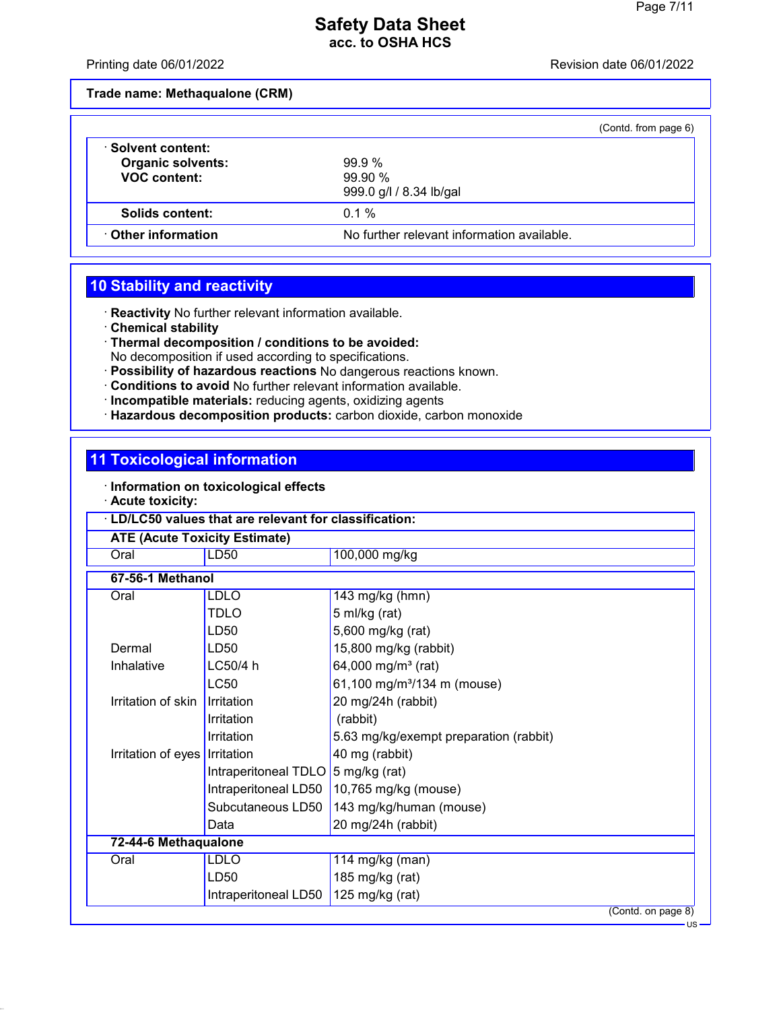Printing date 06/01/2022 Revision date 06/01/2022

**Trade name: Methaqualone (CRM)**

|                                                                     | (Contd. from page 6)                          |
|---------------------------------------------------------------------|-----------------------------------------------|
| Solvent content:<br><b>Organic solvents:</b><br><b>VOC content:</b> | $99.9\%$<br>99.90%<br>999.0 g/l / 8.34 lb/gal |
| Solids content:                                                     | $0.1\%$                                       |
| Other information                                                   | No further relevant information available.    |

# **10 Stability and reactivity**

· **Reactivity** No further relevant information available.

- · **Chemical stability**
- · **Thermal decomposition / conditions to be avoided:** No decomposition if used according to specifications.
- · **Possibility of hazardous reactions** No dangerous reactions known.
- · **Conditions to avoid** No further relevant information available.
- · **Incompatible materials:** reducing agents, oxidizing agents
- · **Hazardous decomposition products:** carbon dioxide, carbon monoxide

## **11 Toxicological information**

- · **Information on toxicological effects**
- · **Acute toxicity:**

| LD/LC50 values that are relevant for classification: |                                    |                                         |  |
|------------------------------------------------------|------------------------------------|-----------------------------------------|--|
| <b>ATE (Acute Toxicity Estimate)</b><br>LD50         |                                    |                                         |  |
| Oral                                                 |                                    | 100,000 mg/kg                           |  |
| 67-56-1 Methanol                                     |                                    |                                         |  |
| Oral                                                 | <b>LDLO</b>                        | 143 mg/kg (hmn)                         |  |
|                                                      | <b>TDLO</b>                        | 5 ml/kg (rat)                           |  |
|                                                      | LD50                               | 5,600 mg/kg (rat)                       |  |
| Dermal                                               | LD50                               | 15,800 mg/kg (rabbit)                   |  |
| Inhalative                                           | LC50/4 h                           | 64,000 mg/m <sup>3</sup> (rat)          |  |
|                                                      | <b>LC50</b>                        | 61,100 mg/m <sup>3</sup> /134 m (mouse) |  |
| Irritation of skin                                   | Irritation                         | 20 mg/24h (rabbit)                      |  |
|                                                      | Irritation                         | (rabbit)                                |  |
|                                                      | Irritation                         | 5.63 mg/kg/exempt preparation (rabbit)  |  |
| Irritation of eyes Irritation                        |                                    | 40 mg (rabbit)                          |  |
|                                                      | Intraperitoneal TDLO 5 mg/kg (rat) |                                         |  |
|                                                      | Intraperitoneal LD50               | 10,765 mg/kg (mouse)                    |  |
|                                                      | Subcutaneous LD50                  | 143 mg/kg/human (mouse)                 |  |
|                                                      | Data                               | 20 mg/24h (rabbit)                      |  |
| 72-44-6 Methaqualone                                 |                                    |                                         |  |
| Oral                                                 | <b>LDLO</b>                        | 114 mg/kg (man)                         |  |
|                                                      | LD50                               | 185 mg/kg (rat)                         |  |
|                                                      | Intraperitoneal LD50               | 125 mg/kg (rat)                         |  |
|                                                      |                                    | (Contd. on page 8)                      |  |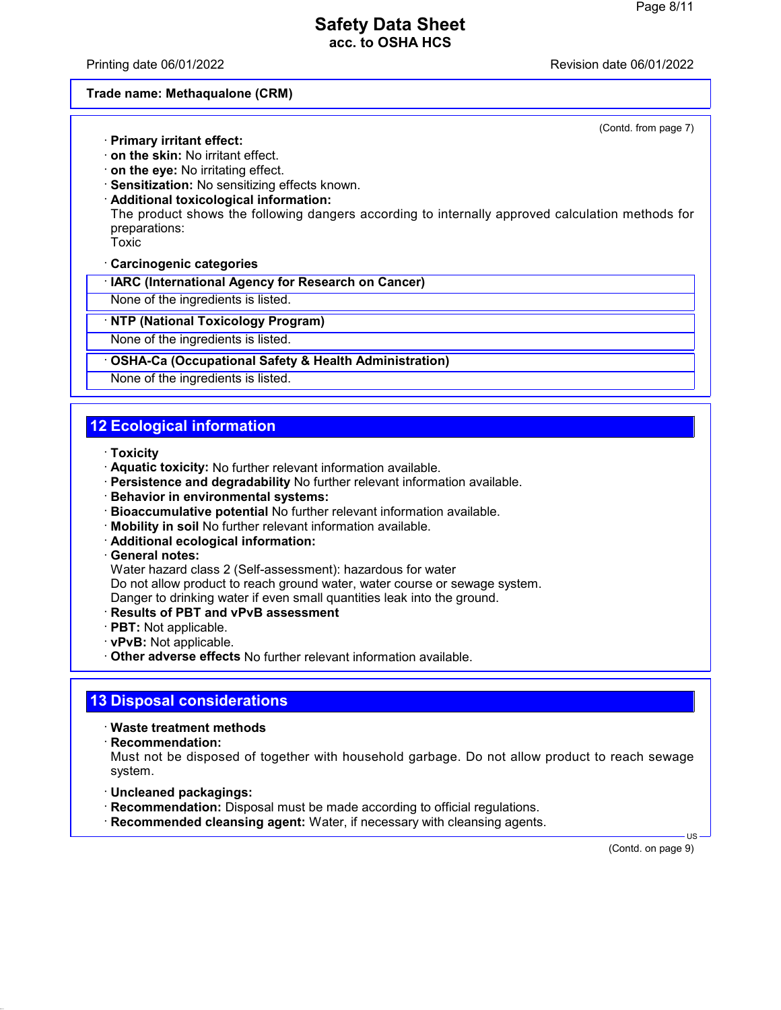Printing date 06/01/2022 Revision date 06/01/2022

#### **Trade name: Methaqualone (CRM)**

(Contd. from page 7)

- · **Primary irritant effect:** · **on the skin:** No irritant effect.
- · **on the eye:** No irritating effect.
- · **Sensitization:** No sensitizing effects known.
- · **Additional toxicological information:**

The product shows the following dangers according to internally approved calculation methods for preparations:

Toxic

- · **Carcinogenic categories**
- · **IARC (International Agency for Research on Cancer)**

None of the ingredients is listed.

#### · **NTP (National Toxicology Program)**

None of the ingredients is listed.

#### · **OSHA-Ca (Occupational Safety & Health Administration)**

None of the ingredients is listed.

# **12 Ecological information**

#### · **Toxicity**

- · **Aquatic toxicity:** No further relevant information available.
- · **Persistence and degradability** No further relevant information available.
- · **Behavior in environmental systems:**
- · **Bioaccumulative potential** No further relevant information available.
- · **Mobility in soil** No further relevant information available.
- · **Additional ecological information:**
- · **General notes:**

Water hazard class 2 (Self-assessment): hazardous for water

Do not allow product to reach ground water, water course or sewage system.

Danger to drinking water if even small quantities leak into the ground.

- · **Results of PBT and vPvB assessment**
- · **PBT:** Not applicable.
- · **vPvB:** Not applicable.
- · **Other adverse effects** No further relevant information available.

### **13 Disposal considerations**

· **Waste treatment methods**

· **Recommendation:**

Must not be disposed of together with household garbage. Do not allow product to reach sewage system.

- · **Uncleaned packagings:**
- · **Recommendation:** Disposal must be made according to official regulations.
- · **Recommended cleansing agent:** Water, if necessary with cleansing agents.

(Contd. on page 9)

US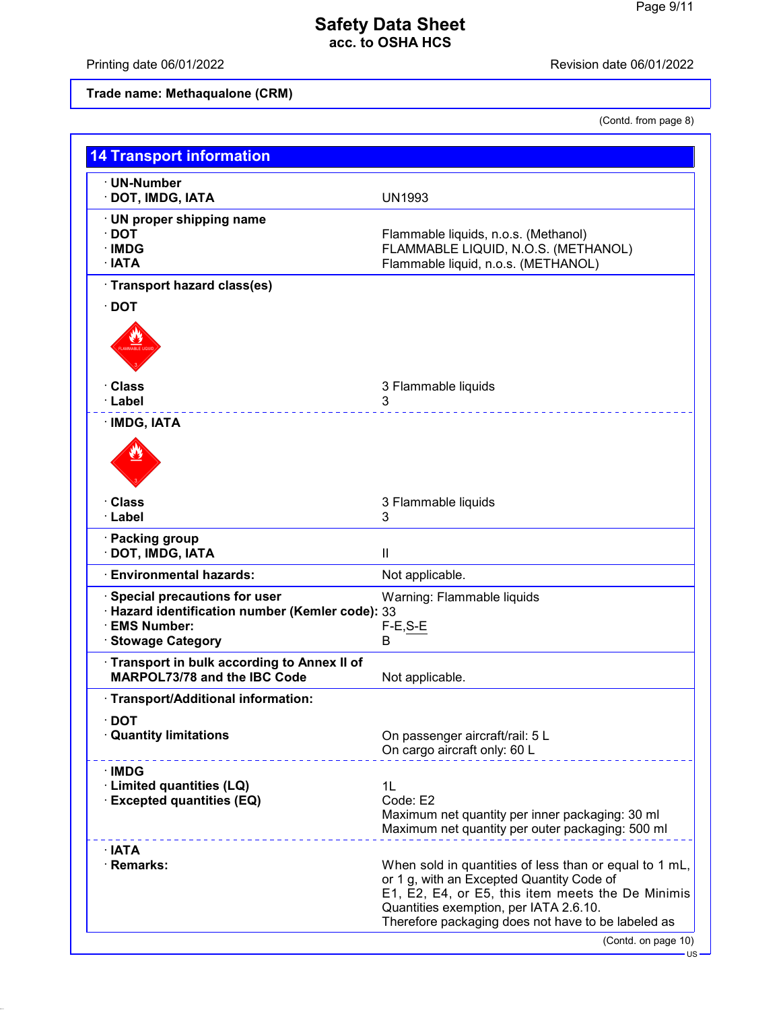Printing date 06/01/2022 **Revision date 06/01/2022** 

**Trade name: Methaqualone (CRM)**

(Contd. from page 8)

| <b>14 Transport information</b>                                                                                                   |                                                                                                                                                                                                                                                          |
|-----------------------------------------------------------------------------------------------------------------------------------|----------------------------------------------------------------------------------------------------------------------------------------------------------------------------------------------------------------------------------------------------------|
| · UN-Number<br>· DOT, IMDG, IATA                                                                                                  | <b>UN1993</b>                                                                                                                                                                                                                                            |
| UN proper shipping name<br>$\cdot$ DOT<br>· IMDG<br>· IATA                                                                        | Flammable liquids, n.o.s. (Methanol)<br>FLAMMABLE LIQUID, N.O.S. (METHANOL)<br>Flammable liquid, n.o.s. (METHANOL)                                                                                                                                       |
| · Transport hazard class(es)                                                                                                      |                                                                                                                                                                                                                                                          |
| $\cdot$ DOT                                                                                                                       |                                                                                                                                                                                                                                                          |
| · Class                                                                                                                           | 3 Flammable liquids                                                                                                                                                                                                                                      |
| · Label                                                                                                                           | 3                                                                                                                                                                                                                                                        |
| · IMDG, IATA                                                                                                                      |                                                                                                                                                                                                                                                          |
| · Class<br>· Label                                                                                                                | 3 Flammable liquids<br>3                                                                                                                                                                                                                                 |
| · Packing group<br>DOT, IMDG, IATA                                                                                                | $\ensuremath{\mathsf{II}}$                                                                                                                                                                                                                               |
| <b>Environmental hazards:</b>                                                                                                     | Not applicable.                                                                                                                                                                                                                                          |
| Special precautions for user<br>· Hazard identification number (Kemler code): 33<br><b>EMS Number:</b><br><b>Stowage Category</b> | Warning: Flammable liquids<br>$F-E, S-E$<br>B                                                                                                                                                                                                            |
| Transport in bulk according to Annex II of<br>MARPOL73/78 and the IBC Code                                                        | Not applicable.                                                                                                                                                                                                                                          |
| · Transport/Additional information:                                                                                               |                                                                                                                                                                                                                                                          |
| <b>DOT</b><br><b>Quantity limitations</b>                                                                                         | On passenger aircraft/rail: 5 L<br>On cargo aircraft only: 60 L                                                                                                                                                                                          |
| · IMDG                                                                                                                            |                                                                                                                                                                                                                                                          |
| · Limited quantities (LQ)<br><b>Excepted quantities (EQ)</b>                                                                      | 1L<br>Code: E2<br>Maximum net quantity per inner packaging: 30 ml<br>Maximum net quantity per outer packaging: 500 ml                                                                                                                                    |
| ∴IATA<br>· Remarks:                                                                                                               | When sold in quantities of less than or equal to 1 mL,<br>or 1 g, with an Excepted Quantity Code of<br>E1, E2, E4, or E5, this item meets the De Minimis<br>Quantities exemption, per IATA 2.6.10.<br>Therefore packaging does not have to be labeled as |
|                                                                                                                                   | (Contd. on page 10)                                                                                                                                                                                                                                      |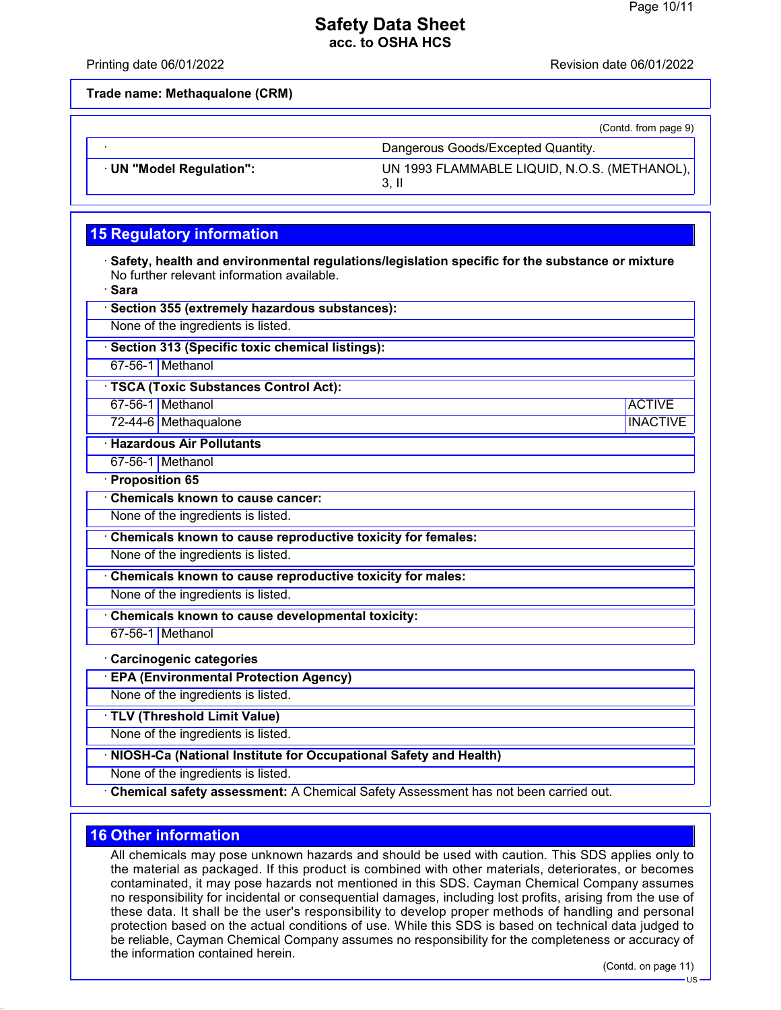Printing date 06/01/2022 Revision date 06/01/2022

**Trade name: Methaqualone (CRM)**

|                          | (Contd. from page 9)                         |
|--------------------------|----------------------------------------------|
|                          | Dangerous Goods/Excepted Quantity.           |
| · UN "Model Regulation": | UN 1993 FLAMMABLE LIQUID, N.O.S. (METHANOL), |

## **15 Regulatory information**

· **Safety, health and environmental regulations/legislation specific for the substance or mixture** No further relevant information available.

| ٠<br>.,<br>×<br>. .<br>×<br>. . |
|---------------------------------|
|                                 |

| əara                                                                               |                 |
|------------------------------------------------------------------------------------|-----------------|
| Section 355 (extremely hazardous substances):                                      |                 |
| None of the ingredients is listed.                                                 |                 |
| Section 313 (Specific toxic chemical listings):                                    |                 |
| 67-56-1 Methanol                                                                   |                 |
| · TSCA (Toxic Substances Control Act):                                             |                 |
| 67-56-1 Methanol                                                                   | <b>ACTIVE</b>   |
| 72-44-6 Methaqualone                                                               | <b>INACTIVE</b> |
| <b>Hazardous Air Pollutants</b>                                                    |                 |
| 67-56-1 Methanol                                                                   |                 |
| · Proposition 65                                                                   |                 |
| <b>Chemicals known to cause cancer:</b>                                            |                 |
| None of the ingredients is listed.                                                 |                 |
| Chemicals known to cause reproductive toxicity for females:                        |                 |
| None of the ingredients is listed.                                                 |                 |
| Chemicals known to cause reproductive toxicity for males:                          |                 |
| None of the ingredients is listed.                                                 |                 |
| Chemicals known to cause developmental toxicity:                                   |                 |
| 67-56-1 Methanol                                                                   |                 |
| <b>Carcinogenic categories</b>                                                     |                 |
| <b>EPA (Environmental Protection Agency)</b>                                       |                 |
| None of the ingredients is listed.                                                 |                 |
| TLV (Threshold Limit Value)                                                        |                 |
| None of the ingredients is listed.                                                 |                 |
| NIOSH-Ca (National Institute for Occupational Safety and Health)                   |                 |
| None of the ingredients is listed.                                                 |                 |
| Chemical safety assessment: A Chemical Safety Assessment has not been carried out. |                 |

### **16 Other information**

All chemicals may pose unknown hazards and should be used with caution. This SDS applies only to the material as packaged. If this product is combined with other materials, deteriorates, or becomes contaminated, it may pose hazards not mentioned in this SDS. Cayman Chemical Company assumes no responsibility for incidental or consequential damages, including lost profits, arising from the use of these data. It shall be the user's responsibility to develop proper methods of handling and personal protection based on the actual conditions of use. While this SDS is based on technical data judged to be reliable, Cayman Chemical Company assumes no responsibility for the completeness or accuracy of the information contained herein.